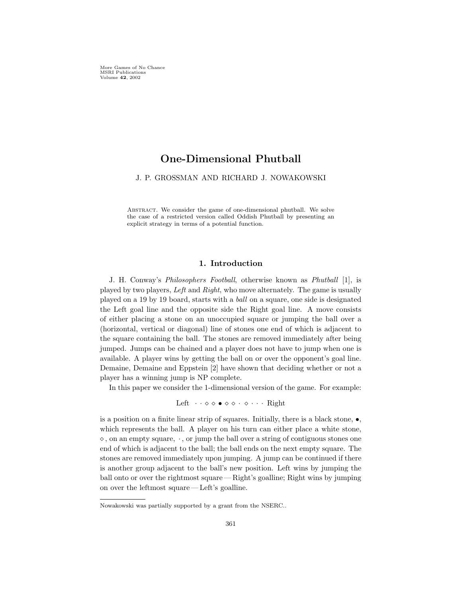More Games of No Chance MSRI Publications Volume 42, 2002

# One-Dimensional Phutball

J. P. GROSSMAN AND RICHARD J. NOWAKOWSKI

Abstract. We consider the game of one-dimensional phutball. We solve the case of a restricted version called Oddish Phutball by presenting an explicit strategy in terms of a potential function.

## 1. Introduction

J. H. Conway's Philosophers Football, otherwise known as Phutball [1], is played by two players, Left and Right, who move alternately. The game is usually played on a 19 by 19 board, starts with a ball on a square, one side is designated the Left goal line and the opposite side the Right goal line. A move consists of either placing a stone on an unoccupied square or jumping the ball over a (horizontal, vertical or diagonal) line of stones one end of which is adjacent to the square containing the ball. The stones are removed immediately after being jumped. Jumps can be chained and a player does not have to jump when one is available. A player wins by getting the ball on or over the opponent's goal line. Demaine, Demaine and Eppstein [2] have shown that deciding whether or not a player has a winning jump is NP complete.

In this paper we consider the 1-dimensional version of the game. For example:

Left  $\cdots \diamond \diamond \bullet \diamond \diamond \cdot \diamond \cdots$  Right

is a position on a finite linear strip of squares. Initially, there is a black stone,  $\bullet$ , which represents the ball. A player on his turn can either place a white stone,  $\diamond$ , on an empty square,  $\cdot$ , or jump the ball over a string of contiguous stones one end of which is adjacent to the ball; the ball ends on the next empty square. The stones are removed immediately upon jumping. A jump can be continued if there is another group adjacent to the ball's new position. Left wins by jumping the ball onto or over the rightmost square— Right's goalline; Right wins by jumping on over the leftmost square— Left's goalline.

Nowakowski was partially supported by a grant from the NSERC..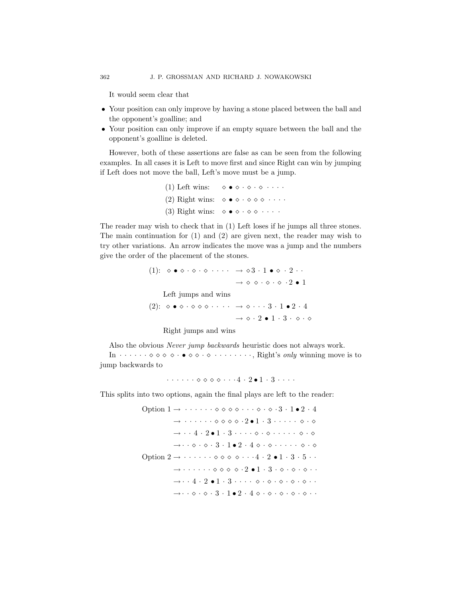It would seem clear that

- Your position can only improve by having a stone placed between the ball and the opponent's goalline; and
- Your position can only improve if an empty square between the ball and the opponent's goalline is deleted.

However, both of these assertions are false as can be seen from the following examples. In all cases it is Left to move first and since Right can win by jumping if Left does not move the ball, Left's move must be a jump.

> (1) Left wins:  $\diamond \bullet \diamond \cdot \diamond \cdot \diamond \cdot \cdot \cdot$ (2) Right wins:  $\diamond \bullet \diamond \cdot \diamond \diamond \diamond \cdot \cdot \cdot$ (3) Right wins:  $\diamond \bullet \diamond \cdot \diamond \diamond \cdot \cdot \cdot$

The reader may wish to check that in (1) Left loses if he jumps all three stones. The main continuation for (1) and (2) are given next, the reader may wish to try other variations. An arrow indicates the move was a jump and the numbers give the order of the placement of the stones.

> (1):  $\diamond \bullet \diamond \cdot \diamond \cdot \diamond \cdot \cdot \cdot \cdot \rightarrow \diamond 3 \cdot 1 \bullet \diamond \cdot 2 \cdot \cdot$  $\rightarrow \diamond \diamond \cdot \diamond \cdot \diamond \cdot 2 \bullet 1$ Left jumps and wins  $(2): \diamond \bullet \diamond \cdot \diamond \diamond \diamond \cdot \cdot \cdot \cdot \rightarrow \diamond \cdot \cdot \cdot 3 \cdot 1 \bullet 2 \cdot 4$  $\rightarrow \diamond 2 \bullet 1 \cdot 3 \cdot \diamond 0$

Right jumps and wins

Also the obvious Never jump backwards heuristic does not always work. In  $\cdots \cdots \diamond \diamond \diamond \diamond \cdots \diamond \diamond \cdots$   $\cdots \cdots$ , Right's only winning move is to

jump backwards to

 $\cdots \cdots \diamond \diamond \diamond \diamond \cdots 4 \cdot 2 \bullet 1 \cdot 3 \cdots$ 

This splits into two options, again the final plays are left to the reader:

Option  $1 \rightarrow \cdots \cdots \diamond \diamond \diamond \diamond \cdots \diamond \cdots \diamond 3 \cdot 1 \bullet 2 \cdot 4$  $\rightarrow \cdots \cdots \diamond \diamond \diamond \diamond \cdot 2 \bullet 1 \cdot 3 \cdot \cdots \cdot \diamond \cdot \diamond$  $\rightarrow \cdot \cdot 4 \cdot 2 \cdot 1 \cdot 3 \cdot \cdot \cdot \cdot \diamond \cdot \diamond \cdot \cdot \cdot \cdot \cdot \diamond \cdot \diamond$  $\rightarrow \cdot \cdot \diamond \cdot \diamond \cdot 3 \cdot 1 \bullet 2 \cdot 4 \diamond \cdot \diamond \cdot \cdot \cdot \cdot \cdot \diamond \cdot \diamond$ Option  $2 \rightarrow \cdot \cdot \cdot \cdot \cdot \cdot \diamond \diamond \diamond \diamond \cdot \cdot \cdot 4 \cdot 2 \cdot 1 \cdot 3 \cdot 5 \cdot \cdot \cdot$  $\rightarrow \cdots \cdots \diamond \diamond \diamond \diamond \cdot 2 \bullet 1 \cdot 3 \cdot \diamond \cdot \diamond \cdot \diamond \cdots$  $\rightarrow \cdot \cdot 4 \cdot 2 \cdot 1 \cdot 3 \cdot \cdot \cdot \cdot \diamond \cdot \diamond \cdot \diamond \cdot \diamond \cdot \diamond \cdot \cdot \cdot$  $\rightarrow \cdot \cdot \diamond \cdot \diamond \cdot 3 \cdot 1 \bullet 2 \cdot 4 \diamond \cdot \diamond \cdot \diamond \cdot \diamond \cdot \diamond \cdot \cdot$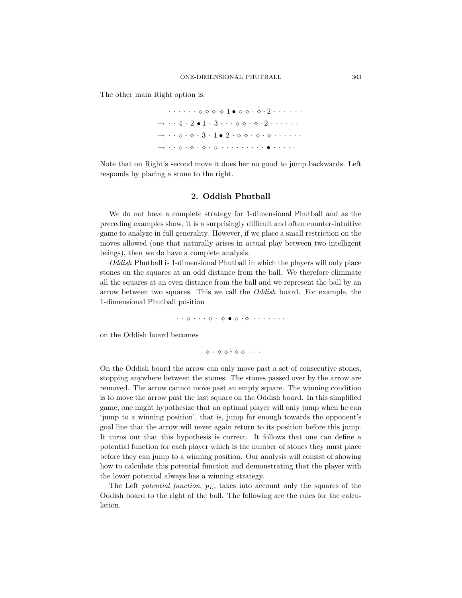The other main Right option is:

 $\cdot \cdot \cdot \cdot \cdot \cdot \diamond \diamond \diamond \diamond 1 \bullet \diamond \diamond \cdot \diamond \cdot 2 \cdot \cdot \cdot \cdot \cdot \cdot$  $\rightarrow$   $\cdots$  4  $\cdot$  2  $\bullet$  1  $\cdot$  3  $\cdots$   $\diamond$   $\diamond$   $\cdot$   $\diamond$   $\cdot$  2  $\cdots$   $\cdots$   $\cdot$  $\rightarrow \cdot \cdot \diamond \cdot \diamond \cdot 3 \cdot 1 \bullet 2 \cdot \diamond \diamond \cdot \diamond \cdot \diamond \cdot \cdot \cdot \cdot$ → · · · · · · · · · · · · · · • · · · · ·

Note that on Right's second move it does her no good to jump backwards. Left responds by placing a stone to the right.

### 2. Oddish Phutball

We do not have a complete strategy for 1-dimensional Phutball and as the preceding examples show, it is a surprisingly difficult and often counter-intuitive game to analyze in full generality. However, if we place a small restriction on the moves allowed (one that naturally arises in actual play between two intelligent beings), then we do have a complete analysis.

Oddish Phutball is 1-dimensional Phutball in which the players will only place stones on the squares at an odd distance from the ball. We therefore eliminate all the squares at an even distance from the ball and we represent the ball by an arrow between two squares. This we call the *Oddish* board. For example, the 1-dimensional Phutball position

· · · · · · • · · · · · · · ·

on the Oddish board becomes

$$
\cdot \ \diamond \ \cdot \ \diamond \ \diamond^{\downarrow} \ \diamond \ \diamond \ \cdot \ \cdot \ \cdot
$$

On the Oddish board the arrow can only move past a set of consecutive stones, stopping anywhere between the stones. The stones passed over by the arrow are removed. The arrow cannot move past an empty square. The winning condition is to move the arrow past the last square on the Oddish board. In this simplified game, one might hypothesize that an optimal player will only jump when he can 'jump to a winning position', that is, jump far enough towards the opponent's goal line that the arrow will never again return to its position before this jump. It turns out that this hypothesis is correct. It follows that one can define a potential function for each player which is the number of stones they must place before they can jump to a winning position. Our analysis will consist of showing how to calculate this potential function and demonstrating that the player with the lower potential always has a winning strategy.

The Left potential function,  $p<sub>L</sub>$ , takes into account only the squares of the Oddish board to the right of the ball. The following are the rules for the calculation.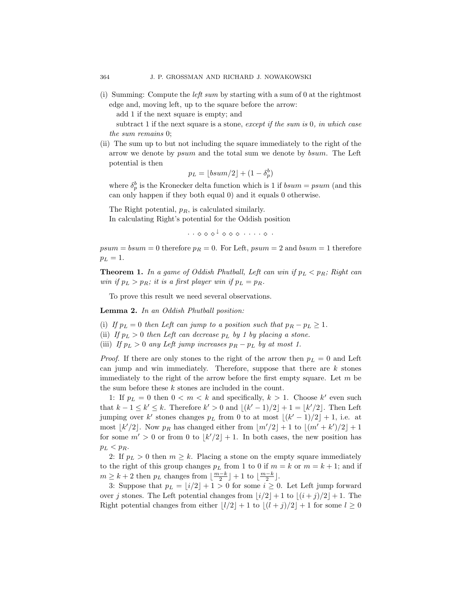(i) Summing: Compute the left sum by starting with a sum of 0 at the rightmost edge and, moving left, up to the square before the arrow:

add 1 if the next square is empty; and

subtract 1 if the next square is a stone, except if the sum is 0, in which case the sum remains 0;

(ii) The sum up to but not including the square immediately to the right of the arrow we denote by psum and the total sum we denote by bsum. The Left potential is then

$$
p_L = \lfloor bsum/2 \rfloor + (1 - \delta_p^b)
$$

where  $\delta_p^b$  is the Kronecker delta function which is 1 if  $bsum = psum$  (and this can only happen if they both equal 0) and it equals 0 otherwise.

The Right potential,  $p_R$ , is calculated similarly. In calculating Right's potential for the Oddish position

 $\cdot\, \cdot \,\, \diamond \,\, \diamond \,\, \diamond^{\,\downarrow} \,\, \diamond \,\, \diamond \,\, \diamond \,\, \cdot \,\, \cdots \,\, \diamond \,\, \cdot$ 

 $psum = bsum = 0$  therefore  $p_R = 0$ . For Left,  $psum = 2$  and  $bsum = 1$  therefore  $p_L = 1.$ 

**Theorem 1.** In a game of Oddish Phutball, Left can win if  $p_L < p_R$ ; Right can win if  $p_L > p_R$ ; it is a first player win if  $p_L = p_R$ .

To prove this result we need several observations.

Lemma 2. In an Oddish Phutball position:

(i) If  $p_L = 0$  then Left can jump to a position such that  $p_R - p_L \geq 1$ .

- (ii) If  $p_L > 0$  then Left can decrease  $p_L$  by 1 by placing a stone.
- (iii) If  $p_L > 0$  any Left jump increases  $p_R p_L$  by at most 1.

*Proof.* If there are only stones to the right of the arrow then  $p_L = 0$  and Left can jump and win immediately. Therefore, suppose that there are  $k$  stones immediately to the right of the arrow before the first empty square. Let  $m$  be the sum before these k stones are included in the count.

1: If  $p_L = 0$  then  $0 < m < k$  and specifically,  $k > 1$ . Choose  $k'$  even such that  $k-1 \leq k' \leq k$ . Therefore  $k' > 0$  and  $\lfloor (k'-1)/2 \rfloor + 1 = \lfloor k'/2 \rfloor$ . Then Left jumping over k' stones changes  $p<sub>L</sub>$  from 0 to at most  $\lfloor (k'-1)/2 \rfloor + 1$ , i.e. at most  $\lfloor k'/2 \rfloor$ . Now  $p_R$  has changed either from  $\lfloor m'/2 \rfloor + 1$  to  $\lfloor (m' + k')/2 \rfloor + 1$ for some  $m' > 0$  or from 0 to  $\lfloor k'/2 \rfloor + 1$ . In both cases, the new position has  $p_L < p_R$ .

2: If  $p_L > 0$  then  $m \geq k$ . Placing a stone on the empty square immediately to the right of this group changes  $p<sub>L</sub>$  from 1 to 0 if  $m = k$  or  $m = k + 1$ ; and if  $m \geq k+2$  then  $p_L$  changes from  $\lfloor \frac{m-k}{2} \rfloor + 1$  to  $\lfloor \frac{m-k}{2} \rfloor$ .

3: Suppose that  $p_L = \lfloor i/2 \rfloor + 1 > 0$  for some  $i \geq 0$ . Let Left jump forward over j stones. The Left potential changes from  $|i/2|+1$  to  $|(i + j)/2|+1$ . The Right potential changes from either  $|l/2|+1$  to  $|(l + j)/2|+1$  for some  $l \geq 0$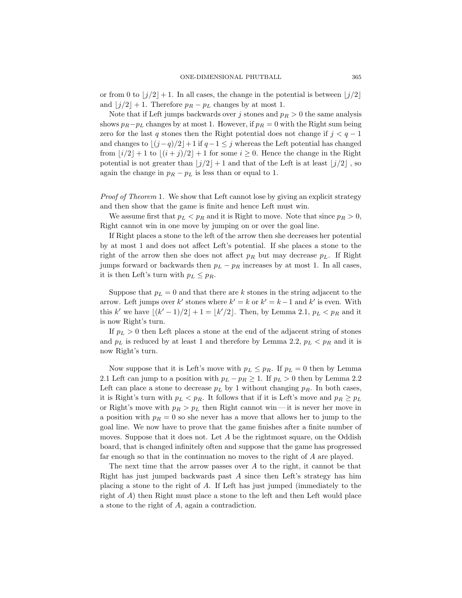or from 0 to  $\left|j/2\right|+1$ . In all cases, the change in the potential is between  $\left|j/2\right|$ and  $|j/2| + 1$ . Therefore  $p_R - p_L$  changes by at most 1.

Note that if Left jumps backwards over j stones and  $p_R > 0$  the same analysis shows  $p_R-p_L$  changes by at most 1. However, if  $p_R = 0$  with the Right sum being zero for the last q stones then the Right potential does not change if  $j < q - 1$ and changes to  $|(j - q)/2| + 1$  if  $q - 1 \leq j$  whereas the Left potential has changed from  $|i/2|+1$  to  $|(i + j)/2|+1$  for some  $i \ge 0$ . Hence the change in the Right potential is not greater than  $\lfloor j/2 \rfloor + 1$  and that of the Left is at least  $\lfloor j/2 \rfloor$ , so again the change in  $p_R - p_L$  is less than or equal to 1.

Proof of Theorem 1. We show that Left cannot lose by giving an explicit strategy and then show that the game is finite and hence Left must win.

We assume first that  $p_L < p_R$  and it is Right to move. Note that since  $p_R > 0$ , Right cannot win in one move by jumping on or over the goal line.

If Right places a stone to the left of the arrow then she decreases her potential by at most 1 and does not affect Left's potential. If she places a stone to the right of the arrow then she does not affect  $p_R$  but may decrease  $p_L$ . If Right jumps forward or backwards then  $p_L - p_R$  increases by at most 1. In all cases, it is then Left's turn with  $p_L < p_R$ .

Suppose that  $p_L = 0$  and that there are k stones in the string adjacent to the arrow. Left jumps over k' stones where  $k' = k$  or  $k' = k - 1$  and k' is even. With this k' we have  $\lfloor (k'-1)/2 \rfloor + 1 = \lfloor k'/2 \rfloor$ . Then, by Lemma 2.1,  $p_L < p_R$  and it is now Right's turn.

If  $p_L > 0$  then Left places a stone at the end of the adjacent string of stones and  $p_L$  is reduced by at least 1 and therefore by Lemma 2.2,  $p_L < p_R$  and it is now Right's turn.

Now suppose that it is Left's move with  $p_L \leq p_R$ . If  $p_L = 0$  then by Lemma 2.1 Left can jump to a position with  $p_L - p_R \ge 1$ . If  $p_L > 0$  then by Lemma 2.2 Left can place a stone to decrease  $p<sub>L</sub>$  by 1 without changing  $p<sub>R</sub>$ . In both cases, it is Right's turn with  $p_L < p_R$ . It follows that if it is Left's move and  $p_R \geq p_L$ or Right's move with  $p_R > p_L$  then Right cannot win—it is never her move in a position with  $p_R = 0$  so she never has a move that allows her to jump to the goal line. We now have to prove that the game finishes after a finite number of moves. Suppose that it does not. Let  $A$  be the rightmost square, on the Oddish board, that is changed infinitely often and suppose that the game has progressed far enough so that in the continuation no moves to the right of A are played.

The next time that the arrow passes over  $A$  to the right, it cannot be that Right has just jumped backwards past  $A$  since then Left's strategy has him placing a stone to the right of A. If Left has just jumped (immediately to the right of A) then Right must place a stone to the left and then Left would place a stone to the right of A, again a contradiction.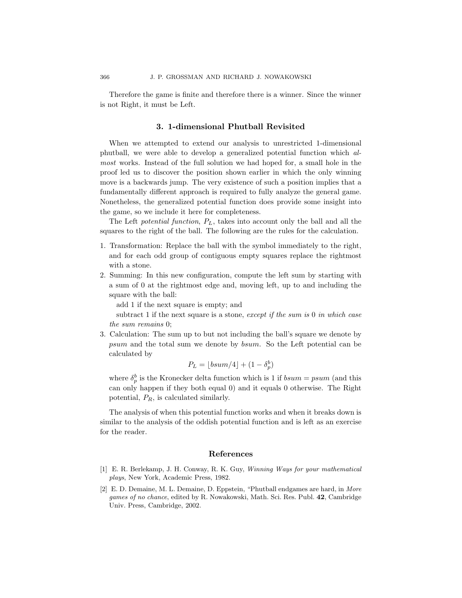Therefore the game is finite and therefore there is a winner. Since the winner is not Right, it must be Left.

## 3. 1-dimensional Phutball Revisited

When we attempted to extend our analysis to unrestricted 1-dimensional phutball, we were able to develop a generalized potential function which almost works. Instead of the full solution we had hoped for, a small hole in the proof led us to discover the position shown earlier in which the only winning move is a backwards jump. The very existence of such a position implies that a fundamentally different approach is required to fully analyze the general game. Nonetheless, the generalized potential function does provide some insight into the game, so we include it here for completeness.

The Left potential function,  $P_L$ , takes into account only the ball and all the squares to the right of the ball. The following are the rules for the calculation.

- 1. Transformation: Replace the ball with the symbol immediately to the right, and for each odd group of contiguous empty squares replace the rightmost with a stone.
- 2. Summing: In this new configuration, compute the left sum by starting with a sum of 0 at the rightmost edge and, moving left, up to and including the square with the ball:

add 1 if the next square is empty; and

subtract 1 if the next square is a stone, except if the sum is 0 in which case the sum remains 0;

3. Calculation: The sum up to but not including the ball's square we denote by psum and the total sum we denote by bsum. So the Left potential can be calculated by

$$
P_L = \lfloor bsum/4 \rfloor + (1 - \delta_p^b)
$$

where  $\delta_p^b$  is the Kronecker delta function which is 1 if  $bsum = psum$  (and this can only happen if they both equal 0) and it equals 0 otherwise. The Right potential,  $P_R$ , is calculated similarly.

The analysis of when this potential function works and when it breaks down is similar to the analysis of the oddish potential function and is left as an exercise for the reader.

#### References

- [1] E. R. Berlekamp, J. H. Conway, R. K. Guy, Winning Ways for your mathematical plays, New York, Academic Press, 1982.
- [2] E. D. Demaine, M. L. Demaine, D. Eppstein, "Phutball endgames are hard, in More games of no chance, edited by R. Nowakowski, Math. Sci. Res. Publ. 42, Cambridge Univ. Press, Cambridge, 2002.